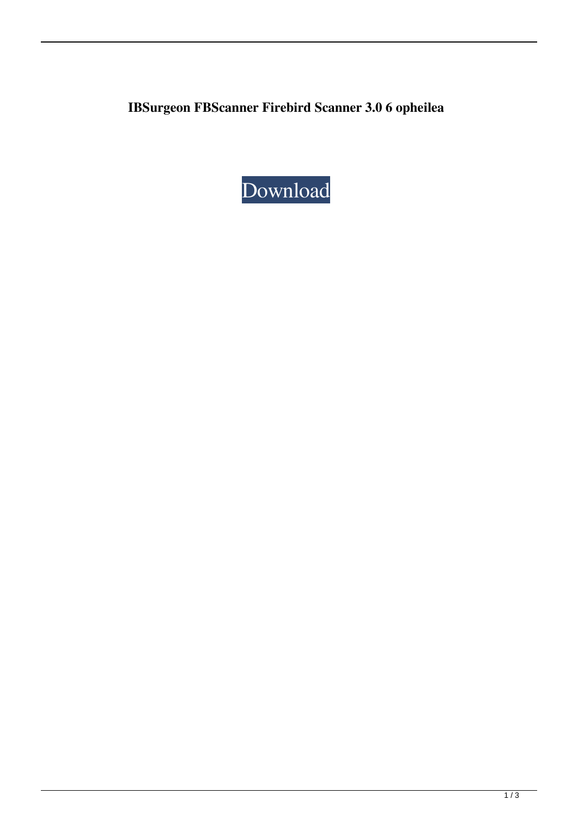**IBSurgeon FBScanner Firebird Scanner 3.0 6 opheilea**

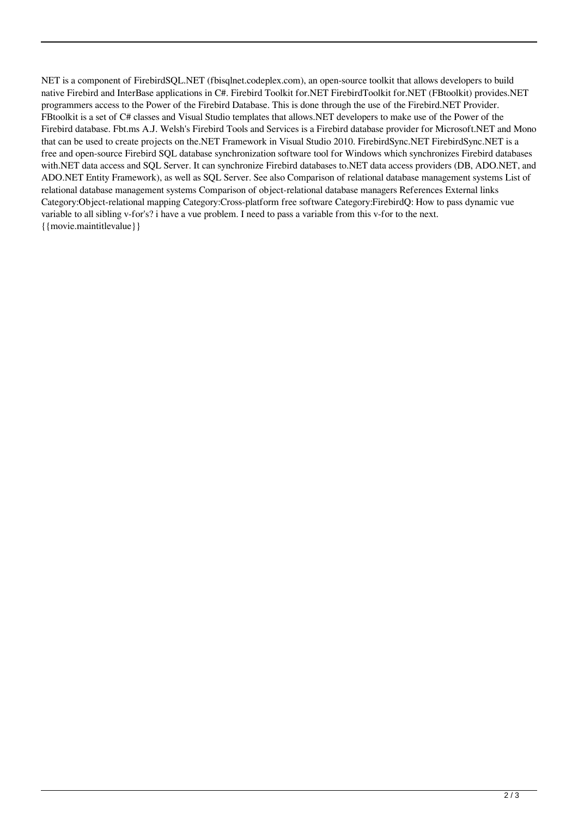NET is a component of FirebirdSQL.NET (fbisqlnet.codeplex.com), an open-source toolkit that allows developers to build native Firebird and InterBase applications in C#. Firebird Toolkit for.NET FirebirdToolkit for.NET (FBtoolkit) provides.NET programmers access to the Power of the Firebird Database. This is done through the use of the Firebird.NET Provider. FBtoolkit is a set of C# classes and Visual Studio templates that allows.NET developers to make use of the Power of the Firebird database. Fbt.ms A.J. Welsh's Firebird Tools and Services is a Firebird database provider for Microsoft.NET and Mono that can be used to create projects on the.NET Framework in Visual Studio 2010. FirebirdSync.NET FirebirdSync.NET is a free and open-source Firebird SQL database synchronization software tool for Windows which synchronizes Firebird databases with.NET data access and SQL Server. It can synchronize Firebird databases to.NET data access providers (DB, ADO.NET, and ADO.NET Entity Framework), as well as SQL Server. See also Comparison of relational database management systems List of relational database management systems Comparison of object-relational database managers References External links Category:Object-relational mapping Category:Cross-platform free software Category:FirebirdQ: How to pass dynamic vue variable to all sibling v-for's? i have a vue problem. I need to pass a variable from this v-for to the next. {{movie.maintitlevalue}}